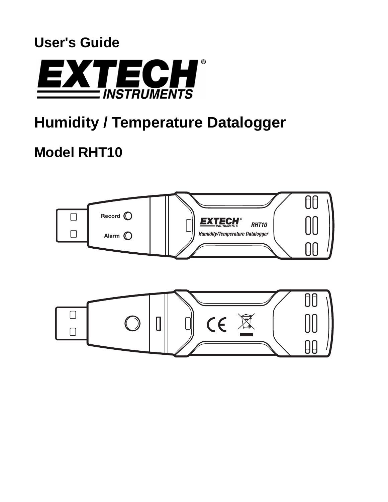# **User's Guide**



# **Humidity / Temperature Datalogger**

# **Model RHT10**

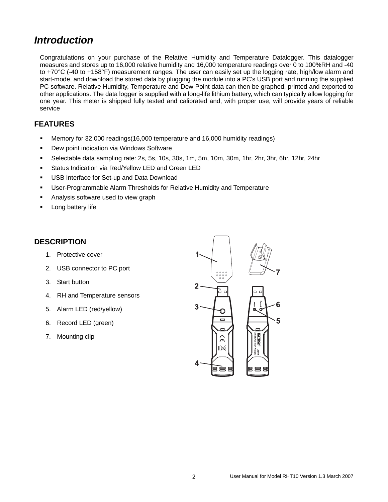# *Introduction*

Congratulations on your purchase of the Relative Humidity and Temperature Datalogger. This datalogger measures and stores up to 16,000 relative humidity and 16,000 temperature readings over 0 to 100%RH and -40 to +70°C (-40 to +158°F) measurement ranges. The user can easily set up the logging rate, high/low alarm and start-mode, and download the stored data by plugging the module into a PC's USB port and running the supplied PC software. Relative Humidity, Temperature and Dew Point data can then be graphed, printed and exported to other applications. The data logger is supplied with a long-life lithium battery, which can typically allow logging for one year. This meter is shipped fully tested and calibrated and, with proper use, will provide years of reliable service

#### **FEATURES**

- Memory for 32,000 readings(16,000 temperature and 16,000 humidity readings)
- **Dew point indication via Windows Software**
- Selectable data sampling rate: 2s, 5s, 10s, 30s, 1m, 5m, 10m, 30m, 1hr, 2hr, 3hr, 6hr, 12hr, 24hr
- **Status Indication via Red/Yellow LED and Green LED**
- **USB Interface for Set-up and Data Download**
- User-Programmable Alarm Thresholds for Relative Humidity and Temperature
- Analysis software used to view graph
- **Long battery life**

#### **DESCRIPTION**

- 1. Protective cover
- 2. USB connector to PC port
- 3. Start button
- 4. RH and Temperature sensors
- 5. Alarm LED (red/yellow)
- 6. Record LED (green)
- 7. Mounting clip

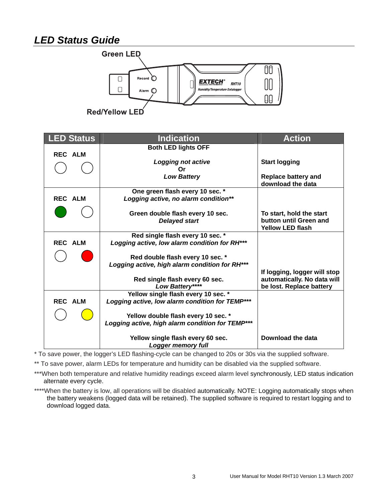# *LED Status Guide*



| <b>ED Status</b> | <b>Indication</b>                                      | <b>Action</b>                |
|------------------|--------------------------------------------------------|------------------------------|
|                  | <b>Both LED lights OFF</b>                             |                              |
| <b>REC ALM</b>   |                                                        |                              |
|                  | <b>Logging not active</b><br>Ωr                        | <b>Start logging</b>         |
|                  | <b>Low Battery</b>                                     | <b>Replace battery and</b>   |
|                  |                                                        | download the data            |
|                  | One green flash every 10 sec. *                        |                              |
| <b>REC ALM</b>   | Logging active, no alarm condition**                   |                              |
|                  | Green double flash every 10 sec.                       | To start, hold the start     |
|                  | <b>Delayed start</b>                                   | button until Green and       |
|                  |                                                        | <b>Yellow LED flash</b>      |
|                  | Red single flash every 10 sec. *                       |                              |
| <b>REC ALM</b>   | Logging active, low alarm condition for RH***          |                              |
|                  | Red double flash every 10 sec. *                       |                              |
|                  | Logging active, high alarm condition for RH***         |                              |
|                  |                                                        | If logging, logger will stop |
|                  | Red single flash every 60 sec.                         | automatically. No data will  |
|                  | Low Battery****<br>Yellow single flash every 10 sec. * | be lost. Replace battery     |
| <b>REC ALM</b>   | Logging active, low alarm condition for TEMP***        |                              |
|                  |                                                        |                              |
|                  | Yellow double flash every 10 sec. *                    |                              |
|                  | Logging active, high alarm condition for TEMP***       |                              |
|                  | Yellow single flash every 60 sec.                      | Download the data            |
|                  | Logger memory full                                     |                              |

\* To save power, the logger's LED flashing-cycle can be changed to 20s or 30s via the supplied software.

\*\* To save power, alarm LEDs for temperature and humidity can be disabled via the supplied software.

\*\*\*When both temperature and relative humidity readings exceed alarm level synchronously, LED status indication alternate every cycle.

\*\*\*\*When the battery is low, all operations will be disabled automatically. NOTE: Logging automatically stops when the battery weakens (logged data will be retained). The supplied software is required to restart logging and to download logged data.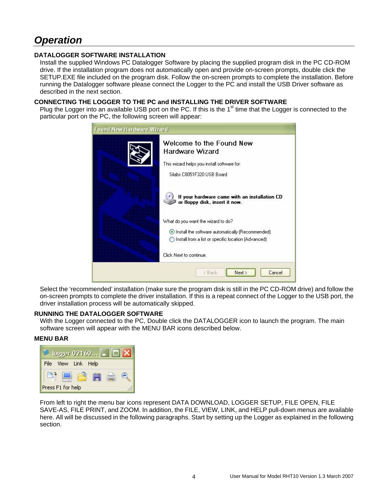# *Operation*

#### **DATALOGGER SOFTWARE INSTALLATION**

Install the supplied Windows PC Datalogger Software by placing the supplied program disk in the PC CD-ROM drive. If the installation program does not automatically open and provide on-screen prompts, double click the SETUP.EXE file included on the program disk. Follow the on-screen prompts to complete the installation. Before running the Datalogger software please connect the Logger to the PC and install the USB Driver software as described in the next section.

#### **CONNECTING THE LOGGER TO THE PC and INSTALLING THE DRIVER SOFTWARE**

Plug the Logger into an available USB port on the PC. If this is the 1<sup>st</sup> time that the Logger is connected to the particular port on the PC, the following screen will appear:

| <b>Found New Hardware Wizard</b> |                                                                                                           |  |
|----------------------------------|-----------------------------------------------------------------------------------------------------------|--|
|                                  | Welcome to the Found New<br>Hardware Wizard                                                               |  |
|                                  | This wizard helps you install software for:                                                               |  |
|                                  | Silabs C8051F320 USB Board                                                                                |  |
|                                  | If your hardware came with an installation CD<br>or floppy disk, insert it now.                           |  |
|                                  | What do you want the wizard to do?                                                                        |  |
|                                  | Install the software automatically [Recommended]<br>◯ Install from a list or specific location (Advanced) |  |
|                                  | Click Next to continue.                                                                                   |  |
|                                  | Next ><br>Cancel<br>< Back                                                                                |  |

Select the 'recommended' installation (make sure the program disk is still in the PC CD-ROM drive) and follow the on-screen prompts to complete the driver installation. If this is a repeat connect of the Logger to the USB port, the driver installation process will be automatically skipped.

#### **RUNNING THE DATALOGGER SOFTWARE**

With the Logger connected to the PC, Double click the DATALOGGER icon to launch the program. The main software screen will appear with the MENU BAR icons described below.

#### **MENU BAR**



From left to right the menu bar icons represent DATA DOWNLOAD, LOGGER SETUP, FILE OPEN, FILE SAVE-AS, FILE PRINT, and ZOOM. In addition, the FILE, VIEW, LINK, and HELP pull-down menus are available here. All will be discussed in the following paragraphs. Start by setting up the Logger as explained in the following section.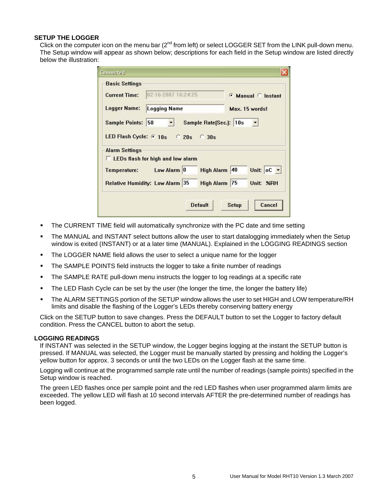#### **SETUP THE LOGGER**

Click on the computer icon on the menu bar (2<sup>nd</sup> from left) or select LOGGER SET from the LINK pull-down menu. The Setup window will appear as shown below; descriptions for each field in the Setup window are listed directly below the illustration:

| <b>Basic Settings</b>                          |                             |  |  |
|------------------------------------------------|-----------------------------|--|--|
| 02-16-2007 16:24:25<br><b>Current Time:</b>    | <b>6 Manual C Instant</b>   |  |  |
| <b>Logger Name:</b><br><b>Logging Name</b>     | Max. 15 words!              |  |  |
| Sample Rate[Sec.]: 10s<br>Sample Points: 50    |                             |  |  |
| LED Flash Cycle: 6 10s 6 20s 6 30s             |                             |  |  |
| <b>Alarm Settings</b>                          |                             |  |  |
| <b>EXAMPLE DS</b> flash for high and low alarm |                             |  |  |
| Low Alarm 0<br>Temperature:                    | Unit: OC -<br>High Alarm 40 |  |  |
| Relative Humidity: Low Alarm 35                | High Alarm 75<br>Unit: %RH  |  |  |
|                                                |                             |  |  |
| <b>Default</b>                                 | Cancel<br>Setup             |  |  |

- The CURRENT TIME field will automatically synchronize with the PC date and time setting
- The MANUAL and INSTANT select buttons allow the user to start datalogging immediately when the Setup window is exited (INSTANT) or at a later time (MANUAL). Explained in the LOGGING READINGS section
- The LOGGER NAME field allows the user to select a unique name for the logger
- The SAMPLE POINTS field instructs the logger to take a finite number of readings
- The SAMPLE RATE pull-down menu instructs the logger to log readings at a specific rate
- The LED Flash Cycle can be set by the user (the longer the time, the longer the battery life)
- The ALARM SETTINGS portion of the SETUP window allows the user to set HIGH and LOW temperature/RH limits and disable the flashing of the Logger's LEDs thereby conserving battery energy

Click on the SETUP button to save changes. Press the DEFAULT button to set the Logger to factory default condition. Press the CANCEL button to abort the setup.

#### **LOGGING READINGS**

If INSTANT was selected in the SETUP window, the Logger begins logging at the instant the SETUP button is pressed. If MANUAL was selected, the Logger must be manually started by pressing and holding the Logger's yellow button for approx. 3 seconds or until the two LEDs on the Logger flash at the same time.

Logging will continue at the programmed sample rate until the number of readings (sample points) specified in the Setup window is reached.

The green LED flashes once per sample point and the red LED flashes when user programmed alarm limits are exceeded. The yellow LED will flash at 10 second intervals AFTER the pre-determined number of readings has been logged.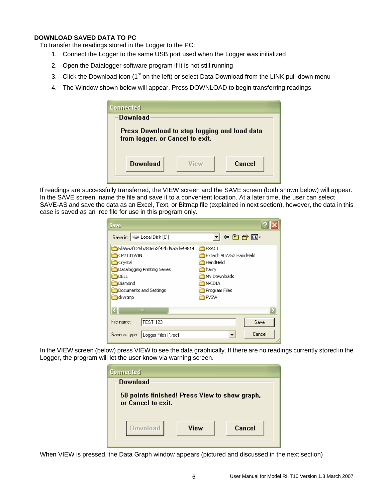#### **DOWNLOAD SAVED DATA TO PC**

To transfer the readings stored in the Logger to the PC:

- 1. Connect the Logger to the same USB port used when the Logger was initialized
- 2. Open the Datalogger software program if it is not still running
- 3. Click the Download icon (1<sup>st</sup> on the left) or select Data Download from the LINK pull-down menu
- 4. The Window shown below will appear. Press DOWNLOAD to begin transferring readings

| Connected                                                                       |      |        |
|---------------------------------------------------------------------------------|------|--------|
| Download                                                                        |      |        |
| Press Download to stop logging and load data<br>from logger, or Cancel to exit. |      |        |
| Download                                                                        | View | Cancel |

If readings are successfully transferred, the VIEW screen and the SAVE screen (both shown below) will appear. In the SAVE screen, name the file and save it to a convenient location. At a later time, the user can select SAVE-AS and save the data as an Excel, Text, or Bitmap file (explained in next section), however, the data in this case is saved as an .rec file for use in this program only.

| Save                                                                                                                                                   |                                                                                                                          |
|--------------------------------------------------------------------------------------------------------------------------------------------------------|--------------------------------------------------------------------------------------------------------------------------|
| Save in: Cocal Disk (C:)                                                                                                                               | │←©or®                                                                                                                   |
| 5f69e7f025b780eb3f42bd9a2de49514<br>CP2101WIN<br><b>Crystal</b><br>Datalogging Printing Series<br>DELL<br>Diamond<br>Documents and Settings<br>drvrtmp | ⊟EXACT<br>Extech 407752 HandHeld<br>HandHeld<br>harry<br>My Downloads<br><b>I</b> NVIDIA<br>Program Files<br><b>PVSW</b> |
| Ш<br><b>TEST 123</b><br>File name:<br>Save as type:<br>Logger Files (*.rec)                                                                            | Save<br>Cancel                                                                                                           |

In the VIEW screen (below) press VIEW to see the data graphically. If there are no readings currently stored in the Logger, the program will let the user know via warning screen.



When VIEW is pressed, the Data Graph window appears (pictured and discussed in the next section)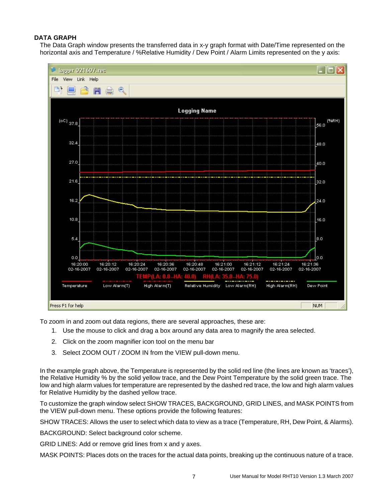#### **DATA GRAPH**

The Data Graph window presents the transferred data in x-y graph format with Date/Time represented on the horizontal axis and Temperature / %Relative Humidity / Dew Point / Alarm Limits represented on the y axis:



To zoom in and zoom out data regions, there are several approaches, these are:

- 1. Use the mouse to click and drag a box around any data area to magnify the area selected.
- 2. Click on the zoom magnifier icon tool on the menu bar
- 3. Select ZOOM OUT / ZOOM IN from the VIEW pull-down menu.

In the example graph above, the Temperature is represented by the solid red line (the lines are known as 'traces'), the Relative Humidity % by the solid yellow trace, and the Dew Point Temperature by the solid green trace. The low and high alarm values for temperature are represented by the dashed red trace, the low and high alarm values for Relative Humidity by the dashed yellow trace.

To customize the graph window select SHOW TRACES, BACKGROUND, GRID LINES, and MASK POINTS from the VIEW pull-down menu. These options provide the following features:

SHOW TRACES: Allows the user to select which data to view as a trace (Temperature, RH, Dew Point, & Alarms).

BACKGROUND: Select background color scheme.

GRID LINES: Add or remove grid lines from x and y axes.

MASK POINTS: Places dots on the traces for the actual data points, breaking up the continuous nature of a trace.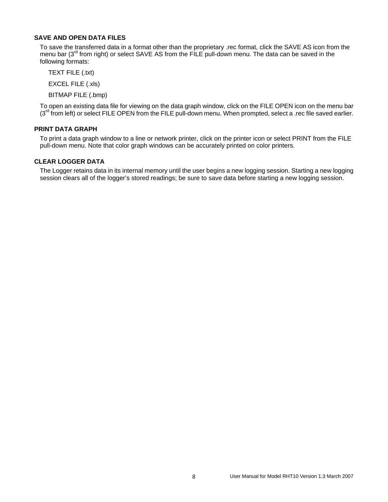#### **SAVE AND OPEN DATA FILES**

To save the transferred data in a format other than the proprietary .rec format, click the SAVE AS icon from the menu bar (3<sup>rd</sup> from right) or select SAVE AS from the FILE pull-down menu. The data can be saved in the following formats:

TEXT FILE (.txt)

EXCEL FILE (.xls)

BITMAP FILE (.bmp)

To open an existing data file for viewing on the data graph window, click on the FILE OPEN icon on the menu bar  $(3<sup>rd</sup>$  from left) or select FILE OPEN from the FILE pull-down menu. When prompted, select a .rec file saved earlier.

#### **PRINT DATA GRAPH**

To print a data graph window to a line or network printer, click on the printer icon or select PRINT from the FILE pull-down menu. Note that color graph windows can be accurately printed on color printers.

#### **CLEAR LOGGER DATA**

The Logger retains data in its internal memory until the user begins a new logging session. Starting a new logging session clears all of the logger's stored readings; be sure to save data before starting a new logging session.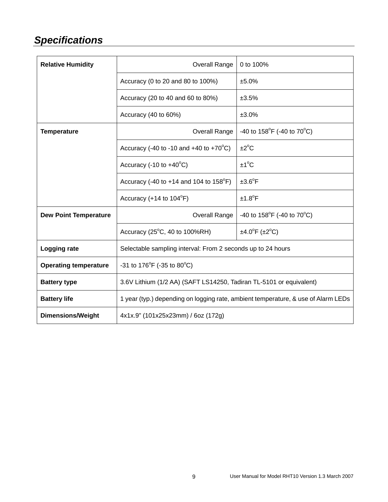# *Specifications*

| <b>Relative Humidity</b>     | Overall Range                                                                     | 0 to 100%                                      |
|------------------------------|-----------------------------------------------------------------------------------|------------------------------------------------|
|                              | Accuracy (0 to 20 and 80 to 100%)                                                 | ±5.0%                                          |
|                              | Accuracy (20 to 40 and 60 to 80%)                                                 | ±3.5%                                          |
|                              | Accuracy (40 to 60%)                                                              | ±3.0%                                          |
| <b>Temperature</b>           | Overall Range                                                                     | -40 to $158^{\circ}$ F (-40 to $70^{\circ}$ C) |
|                              | Accuracy (-40 to -10 and +40 to +70 $^{\circ}$ C)                                 | $\pm 2^{\circ}$ C                              |
|                              | Accuracy (-10 to $+40^{\circ}$ C)                                                 | $±1^{\circ}C$                                  |
|                              | Accuracy (-40 to +14 and 104 to $158^{\circ}F$ )                                  | $±3.6^{\circ}F$                                |
|                              | Accuracy (+14 to $104^{\circ}F$ )                                                 | $±1.8$ <sup>°</sup> F                          |
| <b>Dew Point Temperature</b> | Overall Range                                                                     | -40 to $158^{\circ}$ F (-40 to $70^{\circ}$ C) |
|                              | Accuracy (25°C, 40 to 100%RH)                                                     | $\pm 4.0^{\circ}$ F ( $\pm 2^{\circ}$ C)       |
| Logging rate                 | Selectable sampling interval: From 2 seconds up to 24 hours                       |                                                |
| <b>Operating temperature</b> | -31 to 176 $^{\circ}$ F (-35 to 80 $^{\circ}$ C)                                  |                                                |
| <b>Battery type</b>          | 3.6V Lithium (1/2 AA) (SAFT LS14250, Tadiran TL-5101 or equivalent)               |                                                |
| <b>Battery life</b>          | 1 year (typ.) depending on logging rate, ambient temperature, & use of Alarm LEDs |                                                |
| <b>Dimensions/Weight</b>     | 4x1x.9" (101x25x23mm) / 6oz (172g)                                                |                                                |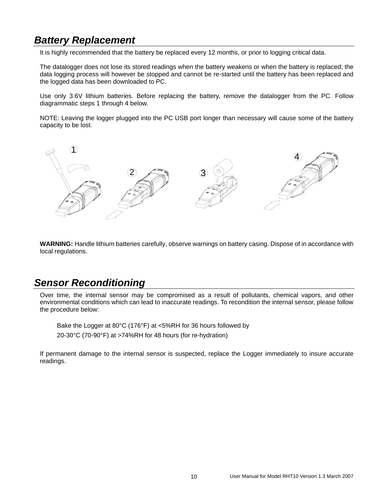# *Battery Replacement*

It is highly recommended that the battery be replaced every 12 months, or prior to logging critical data.

The datalogger does not lose its stored readings when the battery weakens or when the battery is replaced; the data logging process will however be stopped and cannot be re-started until the battery has been replaced and the logged data has been downloaded to PC.

Use only 3.6V lithium batteries. Before replacing the battery, remove the datalogger from the PC. Follow diagrammatic steps 1 through 4 below.

NOTE: Leaving the logger plugged into the PC USB port longer than necessary will cause some of the battery capacity to be lost.



**WARNING:** Handle lithium batteries carefully, observe warnings on battery casing. Dispose of in accordance with local regulations.

# *Sensor Reconditioning*

Over time, the internal sensor may be compromised as a result of pollutants, chemical vapors, and other environmental conditions which can lead to inaccurate readings. To recondition the internal sensor, please follow the procedure below:

Bake the Logger at 80°C (176°F) at <5%RH for 36 hours followed by 20-30°C (70-90°F) at >74%RH for 48 hours (for re-hydration)

If permanent damage to the internal sensor is suspected, replace the Logger immediately to insure accurate readings.